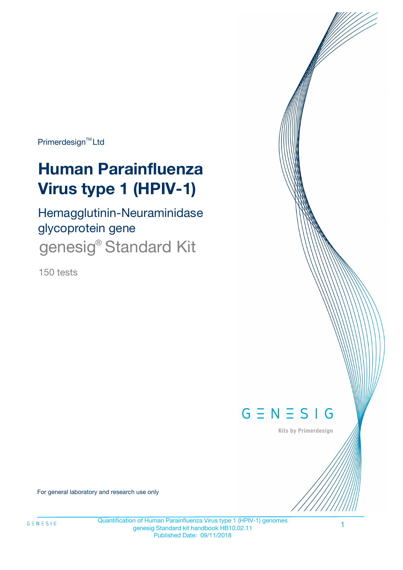Primerdesign<sup>™</sup>Ltd

# **Human Parainfluenza Virus type 1 (HPIV-1)**

Hemagglutinin-Neuraminidase glycoprotein gene genesig<sup>®</sup> Standard Kit

150 tests



Kits by Primerdesign

For general laboratory and research use only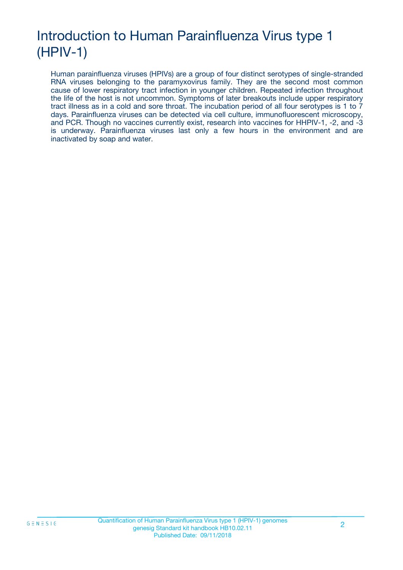## Introduction to Human Parainfluenza Virus type 1 (HPIV-1)

Human parainfluenza viruses (HPIVs) are a group of four distinct serotypes of single-stranded RNA viruses belonging to the paramyxovirus family. They are the second most common cause of lower respiratory tract infection in younger children. Repeated infection throughout the life of the host is not uncommon. Symptoms of later breakouts include upper respiratory tract illness as in a cold and sore throat. The incubation period of all four serotypes is 1 to 7 days. Parainfluenza viruses can be detected via cell culture, immunofluorescent microscopy, and PCR. Though no vaccines currently exist, research into vaccines for HHPIV-1, -2, and -3 is underway. Parainfluenza viruses last only a few hours in the environment and are inactivated by soap and water.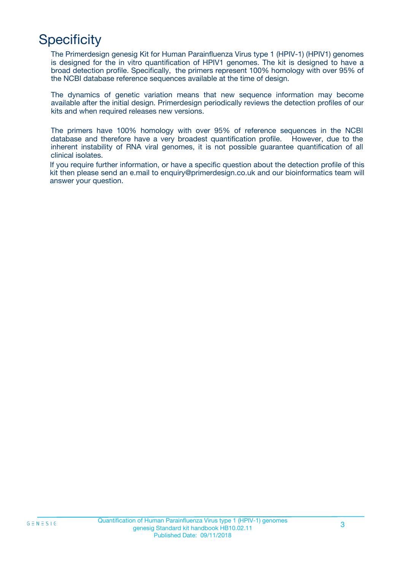## **Specificity**

The Primerdesign genesig Kit for Human Parainfluenza Virus type 1 (HPIV-1) (HPIV1) genomes is designed for the in vitro quantification of HPIV1 genomes. The kit is designed to have a broad detection profile. Specifically, the primers represent 100% homology with over 95% of the NCBI database reference sequences available at the time of design.

The dynamics of genetic variation means that new sequence information may become available after the initial design. Primerdesign periodically reviews the detection profiles of our kits and when required releases new versions.

The primers have 100% homology with over 95% of reference sequences in the NCBI database and therefore have a very broadest quantification profile. However, due to the inherent instability of RNA viral genomes, it is not possible guarantee quantification of all clinical isolates.

If you require further information, or have a specific question about the detection profile of this kit then please send an e.mail to enquiry@primerdesign.co.uk and our bioinformatics team will answer your question.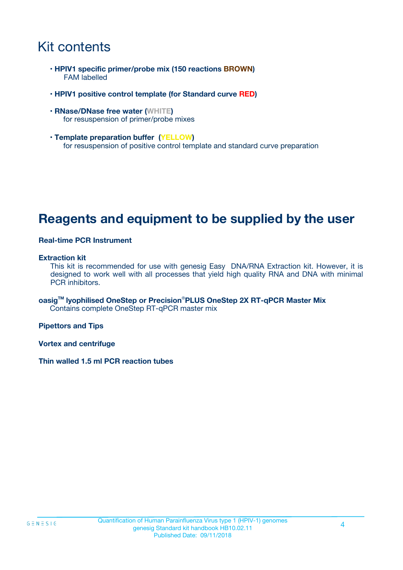### Kit contents

- **HPIV1 specific primer/probe mix (150 reactions BROWN)** FAM labelled
- **HPIV1 positive control template (for Standard curve RED)**
- **RNase/DNase free water (WHITE)** for resuspension of primer/probe mixes
- **Template preparation buffer (YELLOW)** for resuspension of positive control template and standard curve preparation

### **Reagents and equipment to be supplied by the user**

#### **Real-time PCR Instrument**

#### **Extraction kit**

This kit is recommended for use with genesig Easy DNA/RNA Extraction kit. However, it is designed to work well with all processes that yield high quality RNA and DNA with minimal PCR inhibitors.

**oasigTM lyophilised OneStep or Precision**®**PLUS OneStep 2X RT-qPCR Master Mix** Contains complete OneStep RT-qPCR master mix

**Pipettors and Tips**

**Vortex and centrifuge**

**Thin walled 1.5 ml PCR reaction tubes**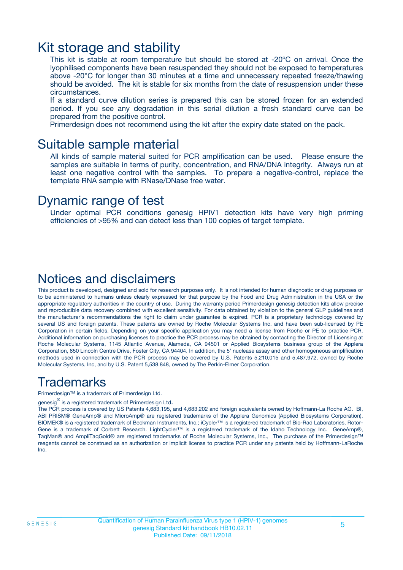### Kit storage and stability

This kit is stable at room temperature but should be stored at -20ºC on arrival. Once the lyophilised components have been resuspended they should not be exposed to temperatures above -20°C for longer than 30 minutes at a time and unnecessary repeated freeze/thawing should be avoided. The kit is stable for six months from the date of resuspension under these circumstances.

If a standard curve dilution series is prepared this can be stored frozen for an extended period. If you see any degradation in this serial dilution a fresh standard curve can be prepared from the positive control.

Primerdesign does not recommend using the kit after the expiry date stated on the pack.

### Suitable sample material

All kinds of sample material suited for PCR amplification can be used. Please ensure the samples are suitable in terms of purity, concentration, and RNA/DNA integrity. Always run at least one negative control with the samples. To prepare a negative-control, replace the template RNA sample with RNase/DNase free water.

### Dynamic range of test

Under optimal PCR conditions genesig HPIV1 detection kits have very high priming efficiencies of >95% and can detect less than 100 copies of target template.

### Notices and disclaimers

This product is developed, designed and sold for research purposes only. It is not intended for human diagnostic or drug purposes or to be administered to humans unless clearly expressed for that purpose by the Food and Drug Administration in the USA or the appropriate regulatory authorities in the country of use. During the warranty period Primerdesign genesig detection kits allow precise and reproducible data recovery combined with excellent sensitivity. For data obtained by violation to the general GLP guidelines and the manufacturer's recommendations the right to claim under guarantee is expired. PCR is a proprietary technology covered by several US and foreign patents. These patents are owned by Roche Molecular Systems Inc. and have been sub-licensed by PE Corporation in certain fields. Depending on your specific application you may need a license from Roche or PE to practice PCR. Additional information on purchasing licenses to practice the PCR process may be obtained by contacting the Director of Licensing at Roche Molecular Systems, 1145 Atlantic Avenue, Alameda, CA 94501 or Applied Biosystems business group of the Applera Corporation, 850 Lincoln Centre Drive, Foster City, CA 94404. In addition, the 5' nuclease assay and other homogeneous amplification methods used in connection with the PCR process may be covered by U.S. Patents 5,210,015 and 5,487,972, owned by Roche Molecular Systems, Inc, and by U.S. Patent 5,538,848, owned by The Perkin-Elmer Corporation.

### Trademarks

Primerdesign™ is a trademark of Primerdesign Ltd.

genesig $^\circledR$  is a registered trademark of Primerdesign Ltd.

The PCR process is covered by US Patents 4,683,195, and 4,683,202 and foreign equivalents owned by Hoffmann-La Roche AG. BI, ABI PRISM® GeneAmp® and MicroAmp® are registered trademarks of the Applera Genomics (Applied Biosystems Corporation). BIOMEK® is a registered trademark of Beckman Instruments, Inc.; iCycler™ is a registered trademark of Bio-Rad Laboratories, Rotor-Gene is a trademark of Corbett Research. LightCycler™ is a registered trademark of the Idaho Technology Inc. GeneAmp®, TaqMan® and AmpliTaqGold® are registered trademarks of Roche Molecular Systems, Inc., The purchase of the Primerdesign™ reagents cannot be construed as an authorization or implicit license to practice PCR under any patents held by Hoffmann-LaRoche Inc.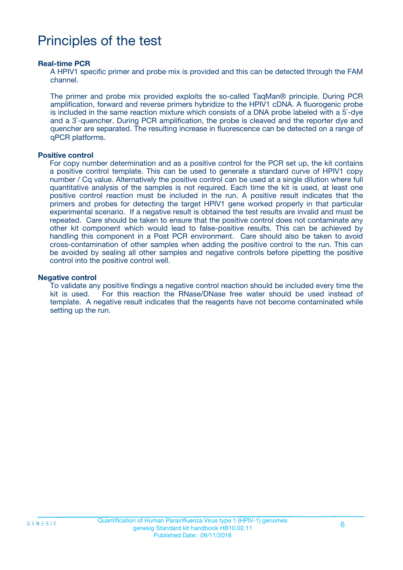## Principles of the test

#### **Real-time PCR**

A HPIV1 specific primer and probe mix is provided and this can be detected through the FAM channel.

The primer and probe mix provided exploits the so-called TaqMan® principle. During PCR amplification, forward and reverse primers hybridize to the HPIV1 cDNA. A fluorogenic probe is included in the same reaction mixture which consists of a DNA probe labeled with a 5`-dye and a 3`-quencher. During PCR amplification, the probe is cleaved and the reporter dye and quencher are separated. The resulting increase in fluorescence can be detected on a range of qPCR platforms.

#### **Positive control**

For copy number determination and as a positive control for the PCR set up, the kit contains a positive control template. This can be used to generate a standard curve of HPIV1 copy number / Cq value. Alternatively the positive control can be used at a single dilution where full quantitative analysis of the samples is not required. Each time the kit is used, at least one positive control reaction must be included in the run. A positive result indicates that the primers and probes for detecting the target HPIV1 gene worked properly in that particular experimental scenario. If a negative result is obtained the test results are invalid and must be repeated. Care should be taken to ensure that the positive control does not contaminate any other kit component which would lead to false-positive results. This can be achieved by handling this component in a Post PCR environment. Care should also be taken to avoid cross-contamination of other samples when adding the positive control to the run. This can be avoided by sealing all other samples and negative controls before pipetting the positive control into the positive control well.

#### **Negative control**

To validate any positive findings a negative control reaction should be included every time the kit is used. For this reaction the RNase/DNase free water should be used instead of template. A negative result indicates that the reagents have not become contaminated while setting up the run.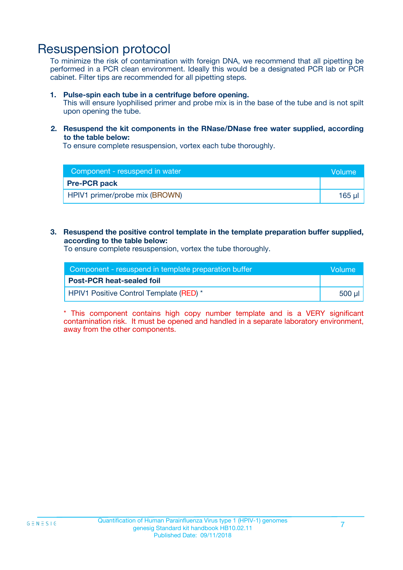### Resuspension protocol

To minimize the risk of contamination with foreign DNA, we recommend that all pipetting be performed in a PCR clean environment. Ideally this would be a designated PCR lab or PCR cabinet. Filter tips are recommended for all pipetting steps.

#### **1. Pulse-spin each tube in a centrifuge before opening.**

This will ensure lyophilised primer and probe mix is in the base of the tube and is not spilt upon opening the tube.

**2. Resuspend the kit components in the RNase/DNase free water supplied, according to the table below:**

To ensure complete resuspension, vortex each tube thoroughly.

| Component - resuspend in water | <b>Nolume</b> |
|--------------------------------|---------------|
| <b>Pre-PCR pack</b>            |               |
| HPIV1 primer/probe mix (BROWN) | $165$ $\mu$   |

#### **3. Resuspend the positive control template in the template preparation buffer supplied, according to the table below:**

To ensure complete resuspension, vortex the tube thoroughly.

| Component - resuspend in template preparation buffer |          |
|------------------------------------------------------|----------|
| <b>Post-PCR heat-sealed foil</b>                     |          |
| HPIV1 Positive Control Template (RED) *              | ่ 500 µl |

\* This component contains high copy number template and is a VERY significant contamination risk. It must be opened and handled in a separate laboratory environment, away from the other components.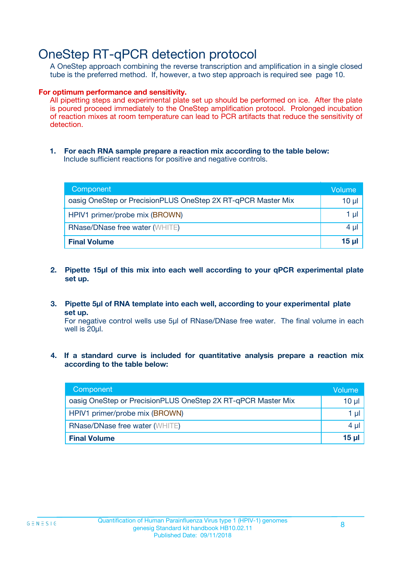### OneStep RT-qPCR detection protocol

A OneStep approach combining the reverse transcription and amplification in a single closed tube is the preferred method. If, however, a two step approach is required see page 10.

#### **For optimum performance and sensitivity.**

All pipetting steps and experimental plate set up should be performed on ice. After the plate is poured proceed immediately to the OneStep amplification protocol. Prolonged incubation of reaction mixes at room temperature can lead to PCR artifacts that reduce the sensitivity of detection.

**1. For each RNA sample prepare a reaction mix according to the table below:** Include sufficient reactions for positive and negative controls.

| Component                                                    | Volume   |
|--------------------------------------------------------------|----------|
| oasig OneStep or PrecisionPLUS OneStep 2X RT-qPCR Master Mix | $10 \mu$ |
| HPIV1 primer/probe mix (BROWN)                               | 1 µl     |
| <b>RNase/DNase free water (WHITE)</b>                        | $4 \mu$  |
| <b>Final Volume</b>                                          | $15$ µ   |

- **2. Pipette 15µl of this mix into each well according to your qPCR experimental plate set up.**
- **3. Pipette 5µl of RNA template into each well, according to your experimental plate set up.**

For negative control wells use 5µl of RNase/DNase free water. The final volume in each well is 20ul.

**4. If a standard curve is included for quantitative analysis prepare a reaction mix according to the table below:**

| Component                                                    | Volume |
|--------------------------------------------------------------|--------|
| oasig OneStep or PrecisionPLUS OneStep 2X RT-qPCR Master Mix | 10 µl  |
| HPIV1 primer/probe mix (BROWN)                               | 1 µl   |
| <b>RNase/DNase free water (WHITE)</b>                        | 4 µl   |
| <b>Final Volume</b>                                          | 15 µl  |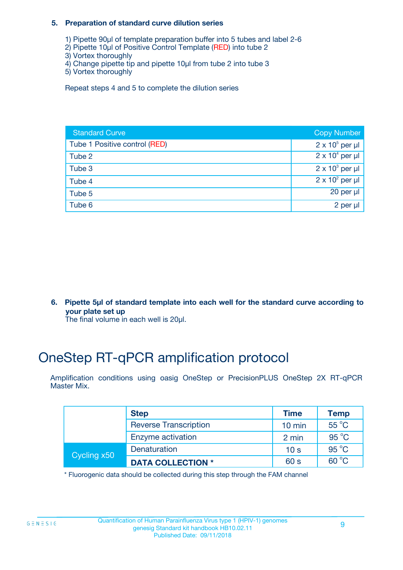#### **5. Preparation of standard curve dilution series**

- 1) Pipette 90µl of template preparation buffer into 5 tubes and label 2-6
- 2) Pipette 10µl of Positive Control Template (RED) into tube 2
- 3) Vortex thoroughly
- 4) Change pipette tip and pipette 10µl from tube 2 into tube 3
- 5) Vortex thoroughly

Repeat steps 4 and 5 to complete the dilution series

| <b>Standard Curve</b>         | <b>Copy Number</b>     |
|-------------------------------|------------------------|
| Tube 1 Positive control (RED) | $2 \times 10^5$ per µl |
| Tube 2                        | $2 \times 10^4$ per µl |
| Tube 3                        | $2 \times 10^3$ per µl |
| Tube 4                        | $2 \times 10^2$ per µl |
| Tube 5                        | 20 per $\mu$           |
| Tube 6                        | 2 per µl               |

**6. Pipette 5µl of standard template into each well for the standard curve according to your plate set up**

The final volume in each well is 20ul.

## OneStep RT-qPCR amplification protocol

Amplification conditions using oasig OneStep or PrecisionPLUS OneStep 2X RT-qPCR Master Mix.

|             | <b>Step</b>                  | <b>Time</b>      | <b>Temp</b>    |
|-------------|------------------------------|------------------|----------------|
|             | <b>Reverse Transcription</b> | $10 \text{ min}$ | 55 °C          |
|             | Enzyme activation            | 2 min            | $95^{\circ}$ C |
| Cycling x50 | Denaturation                 | 10 <sub>s</sub>  | $95^{\circ}$ C |
|             | <b>DATA COLLECTION *</b>     | 60 s             | $60^{\circ}$ C |

\* Fluorogenic data should be collected during this step through the FAM channel